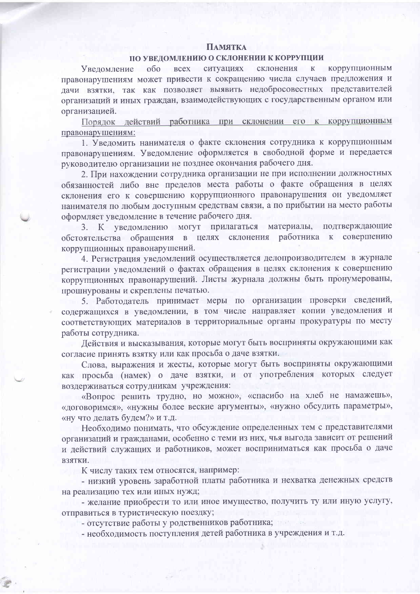## **ПАМЯТКА**

## ПО УВЕДОМЛЕНИЮ О СКЛОНЕНИИ К КОРРУПЦИИ

Уведомление **КОРРУПЦИОННЫМ**  $000$ ситуациях склонения  $\overline{\mathbf{K}}$ **BCCX** правонарушениям может привести к сокращению числа случаев предложения и дачи взятки, так как позволяет выявить недобросовестных представителей организаций и иных граждан, взаимодействующих с государственным органом или организацией.

Порядок действий работника при склонении его к коррупционным правонарушениям:

1. Уведомить нанимателя о факте склонения сотрудника к коррупционным правонарушениям. Уведомление оформляется в свободной форме и передается руководителю организации не позднее окончания рабочего дня.

2. При нахождении сотрудника организации не при исполнении должностных обязанностей либо вне пределов места работы о факте обращения в целях склонения его к совершению коррупционного правонарушения он уведомляет нанимателя по любым доступным средствам связи, а по прибытии на место работы оформляет уведомление в течение рабочего дня.

3. К уведомлению могут прилагаться материалы, подтверждающие обстоятельства обращения в целях склонения работника к совершению коррупционных правонарушений.

4. Регистрация уведомлений осуществляется делопроизводителем в журнале регистрации уведомлений о фактах обращения в целях склонения к совершению коррупционных правонарушений. Листы журнала должны быть пронумерованы, прошнурованы и скреплены печатью.

5. Работодатель принимает меры по организации проверки сведений, содержащихся в уведомлении, в том числе направляет копии уведомления и соответствующих материалов в территориальные органы прокуратуры по месту работы сотрудника.

Действия и высказывания, которые могут быть восприняты окружающими как согласие принять взятку или как просьба о даче взятки.

Слова, выражения и жесты, которые могут быть восприняты окружающими как просьба (намек) о даче взятки, и от употребления которых следует воздерживаться сотрудникам учреждения:

«Вопрос решить трудно, но можно», «спасибо на хлеб не намажешь», «договоримся», «нужны более веские аргументы», «нужно обсудить параметры», «ну что делать будем?» и т.д.

Необходимо понимать, что обсуждение определенных тем с представителями организаций и гражданами, особенно с теми из них, чья выгода зависит от решений и действий служащих и работников, может восприниматься как просьба о даче ВЗЯТКИ.

К числу таких тем относятся, например:

- низкий уровень заработной платы работника и нехватка денежных средств на реализацию тех или иных нужд;

- желание приобрести то или иное имущество, получить ту или иную услугу, отправиться в туристическую поездку;

- отсутствие работы у родственников работника;

- необходимость поступления детей работника в учреждения и т.д.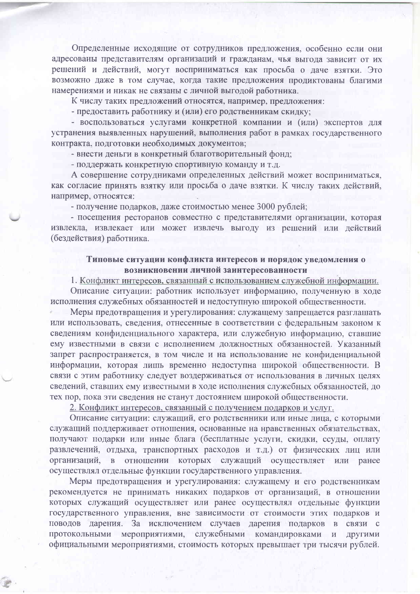Определенные исходящие от сотрудников предложения, особенно если они адресованы представителям организаций и гражданам, чья выгола зависит от их решений и действий, могут восприниматься как просьба о даче взятки. Это возможно даже в том случае, когда такие предложения продиктованы благими намерениями и никак не связаны с личной выгодой работника.

К числу таких предложений относятся, например, предложения:

- предоставить работнику и (или) его родственникам скидку;

- воспользоваться услугами конкретной компании и (или) экспертов для устранения выявленных нарушений, выполнения работ в рамках государственного контракта, подготовки необходимых документов;

- внести деньги в конкретный благотворительный фонд;

- поддержать конкретную спортивную команду и т.д.

А совершение сотрудниками определенных действий может восприниматься, как согласие принять взятку или просьба о даче взятки. К числу таких действий, например, относятся:

- получение подарков, даже стоимостью менее 3000 рублей;

- посещения ресторанов совместно с представителями организации, которая извлекла, извлекает или может извлечь выгоду из решений или действий (бездействия) работника.

## Типовые ситуации конфликта интересов и порядок уведомления о возникновении личной заинтересованности

1. Конфликт интересов, связанный с использованием служебной информации. Описание ситуации: работник использует информацию, полученную в ходе исполнения служебных обязанностей и недоступную широкой общественности.

Меры предотвращения и урегулирования: служащему запрещается разглашать или использовать, сведения, отнесенные в соответствии с федеральным законом к сведениям конфиденциального характера, или служебную информацию, ставшие ему известными в связи с исполнением должностных обязанностей. Указанный запрет распространяется, в том числе и на использование не конфиденциальной информации, которая лишь временно недоступна широкой общественности. В связи с этим работнику следует воздерживаться от использования в личных целях сведений, ставших ему известными в ходе исполнения служебных обязанностей, до тех пор, пока эти сведения не станут достоянием широкой общественности.

2. Конфликт интересов, связанный с получением подарков и услуг.

Описание ситуации: служащий, его родственники или иные лица, с которыми служащий поддерживает отношения, основанные на нравственных обязательствах, получают подарки или иные блага (бесплатные услуги, скидки, ссуды, оплату развлечений, отдыха, транспортных расходов и т.д.) от физических лиц или организаций, в отношении которых служащий осуществляет или ранее осуществлял отдельные функции государственного управления.

Меры предотвращения и урегулирования: служащему и его родственникам рекомендуется не принимать никаких подарков от организаций, в отношении которых служащий осуществляет или ранее осуществлял отдельные функции государственного управления, вне зависимости от стоимости этих подарков и поводов дарения. За исключением случаев дарения подарков в связи с протокольными мероприятиями, служебными командировками и другими официальными мероприятиями, стоимость которых превышает три тысячи рублей.